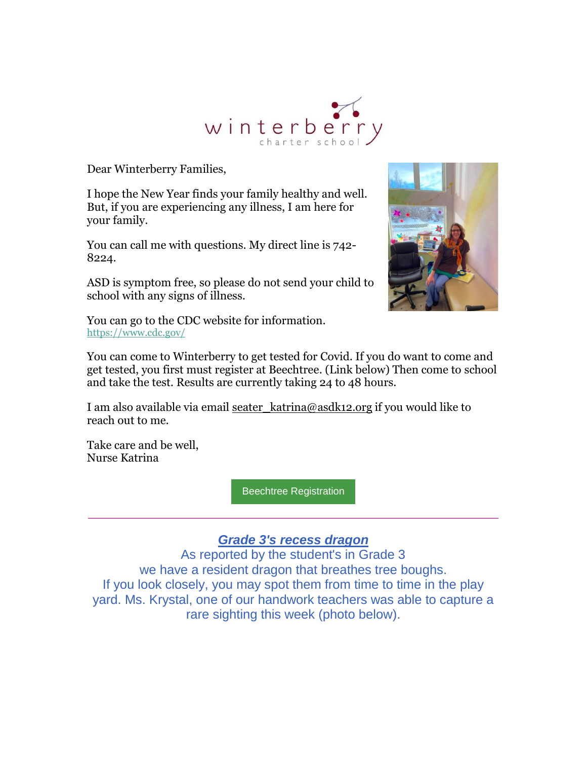

Dear Winterberry Families,

I hope the New Year finds your family healthy and well. But, if you are experiencing any illness, I am here for your family.

You can call me with questions. My direct line is 742- 8224.

ASD is symptom free, so please do not send your child to school with any signs of illness.



You can go to the CDC website for information. [https://www.cdc.gov/](https://nam12.safelinks.protection.outlook.com/?url=https%3A%2F%2Fr20.rs6.net%2Ftn.jsp%3Ff%3D001dDmKoqAShR-tkDTig6wvziIPC5AL0-yK_T6lSVzvp8oNrWVL6gL8X-WXOlyLcboO17XKuDLnfM1kF15LMOrgI-Dyw4OonXHFhzOg_zgVjW9H6x8eThTNHMUnRmFz8uTkpBGEUi4ptDo%3D%26c%3DFIEVoJ67BwDoq9hGv67bQpxzdwM4GNhk6qN1r0MxIU-eEOUnW0FwDg%3D%3D%26ch%3DvrV1YgMMKJoEosqkGhRH60V3vLZ5HjMYuexvdwT2UcipsSZDrthz3w%3D%3D&data=04%7C01%7Cgarrels_shana%40asdk12.org%7Cf7dd05ca7f97434d3d1d08d9d6e26971%7C036ce601e95a4e46a3bd6b742ed4bb35%7C0%7C1%7C637777090208072619%7CUnknown%7CTWFpbGZsb3d8eyJWIjoiMC4wLjAwMDAiLCJQIjoiV2luMzIiLCJBTiI6Ik1haWwiLCJXVCI6Mn0%3D%7C3000&sdata=Ge4VvhfjVp0IPb0Y4tYYG6UxRDZUqaTRZ6f0NkcM2%2FQ%3D&reserved=0)

You can come to Winterberry to get tested for Covid. If you do want to come and get tested, you first must register at Beechtree. (Link below) Then come to school and take the test. Results are currently taking 24 to 48 hours.

I am also available via email seater katrina@asdk12.org if you would like to reach out to me.

Take care and be well, Nurse Katrina

[Beechtree Registration](https://nam12.safelinks.protection.outlook.com/?url=https%3A%2F%2Fr20.rs6.net%2Ftn.jsp%3Ff%3D001dDmKoqAShR-tkDTig6wvziIPC5AL0-yK_T6lSVzvp8oNrWVL6gL8X-WXOlyLcboO1JbrZvpJQSVNuT3vEJjQa9ee68UqrvQ0rfEGveL882DhRxKNEf13BshzU86mUOx53tNSKA2s5IQqZ5T6jFY5eBOVyRLR3NzwvErAujbjNf6RUP58U2Fxn0bVlhAnN5Iaju3YbMuTz_RFB5i6U4A1blkzwqegGltcH91D6OV7hlGQ1o5YA4CYwg%3D%3D%26c%3DFIEVoJ67BwDoq9hGv67bQpxzdwM4GNhk6qN1r0MxIU-eEOUnW0FwDg%3D%3D%26ch%3DvrV1YgMMKJoEosqkGhRH60V3vLZ5HjMYuexvdwT2UcipsSZDrthz3w%3D%3D&data=04%7C01%7Cgarrels_shana%40asdk12.org%7Cf7dd05ca7f97434d3d1d08d9d6e26971%7C036ce601e95a4e46a3bd6b742ed4bb35%7C0%7C1%7C637777090208072619%7CUnknown%7CTWFpbGZsb3d8eyJWIjoiMC4wLjAwMDAiLCJQIjoiV2luMzIiLCJBTiI6Ik1haWwiLCJXVCI6Mn0%3D%7C3000&sdata=sczzyUT7IGp5AmoknqZF8NO4TVxlevilj%2B%2BZG%2BffeyU%3D&reserved=0)

## *Grade 3's recess dragon*

As reported by the student's in Grade 3 we have a resident dragon that breathes tree boughs. If you look closely, you may spot them from time to time in the play yard. Ms. Krystal, one of our handwork teachers was able to capture a rare sighting this week (photo below).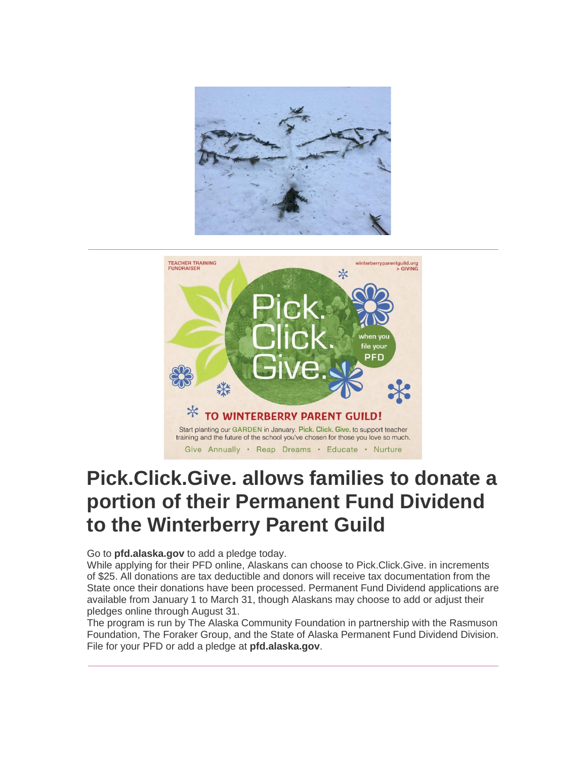



# **Pick.Click.Give. allows families to donate a portion of their Permanent Fund Dividend to the Winterberry Parent Guild**

Go to **[pfd.alaska.gov](https://nam12.safelinks.protection.outlook.com/?url=https%3A%2F%2Fr20.rs6.net%2Ftn.jsp%3Ff%3D001dDmKoqAShR-tkDTig6wvziIPC5AL0-yK_T6lSVzvp8oNrWVL6gL8XwhUPfw7sYZ4TUgPqR8jIw6ygiHAioq8TJYX6oJYAhmD_01bxO6fpTxvc4zOXuK5-2fGtoFFLTT39pqg_UuQAfs-DulrAbVGdg%3D%3D%26c%3DFIEVoJ67BwDoq9hGv67bQpxzdwM4GNhk6qN1r0MxIU-eEOUnW0FwDg%3D%3D%26ch%3DvrV1YgMMKJoEosqkGhRH60V3vLZ5HjMYuexvdwT2UcipsSZDrthz3w%3D%3D&data=04%7C01%7Cgarrels_shana%40asdk12.org%7Cf7dd05ca7f97434d3d1d08d9d6e26971%7C036ce601e95a4e46a3bd6b742ed4bb35%7C0%7C1%7C637777090208072619%7CUnknown%7CTWFpbGZsb3d8eyJWIjoiMC4wLjAwMDAiLCJQIjoiV2luMzIiLCJBTiI6Ik1haWwiLCJXVCI6Mn0%3D%7C3000&sdata=JJes8TKgGDhUn0ubGLPlXla58uR%2FfW11LX6jO0MitEE%3D&reserved=0)** to add a pledge today.

While applying for their PFD online, Alaskans can choose to Pick.Click.Give. in increments of \$25. All donations are tax deductible and donors will receive tax documentation from the State once their donations have been processed. Permanent Fund Dividend applications are available from January 1 to March 31, though Alaskans may choose to add or adjust their pledges online through August 31.

The program is run by The Alaska Community Foundation in partnership with the Rasmuson Foundation, The Foraker Group, and the State of Alaska Permanent Fund Dividend Division. File for your PFD or add a pledge at **[pfd.alaska.gov](https://nam12.safelinks.protection.outlook.com/?url=https%3A%2F%2Fr20.rs6.net%2Ftn.jsp%3Ff%3D001dDmKoqAShR-tkDTig6wvziIPC5AL0-yK_T6lSVzvp8oNrWVL6gL8XwhUPfw7sYZ4TUgPqR8jIw6ygiHAioq8TJYX6oJYAhmD_01bxO6fpTxvc4zOXuK5-2fGtoFFLTT39pqg_UuQAfs-DulrAbVGdg%3D%3D%26c%3DFIEVoJ67BwDoq9hGv67bQpxzdwM4GNhk6qN1r0MxIU-eEOUnW0FwDg%3D%3D%26ch%3DvrV1YgMMKJoEosqkGhRH60V3vLZ5HjMYuexvdwT2UcipsSZDrthz3w%3D%3D&data=04%7C01%7Cgarrels_shana%40asdk12.org%7Cf7dd05ca7f97434d3d1d08d9d6e26971%7C036ce601e95a4e46a3bd6b742ed4bb35%7C0%7C1%7C637777090208228820%7CUnknown%7CTWFpbGZsb3d8eyJWIjoiMC4wLjAwMDAiLCJQIjoiV2luMzIiLCJBTiI6Ik1haWwiLCJXVCI6Mn0%3D%7C3000&sdata=eYAwyg%2BZENAPY0OvTAA%2BjNVQr85AkEfCW6igBGTpRs8%3D&reserved=0)**.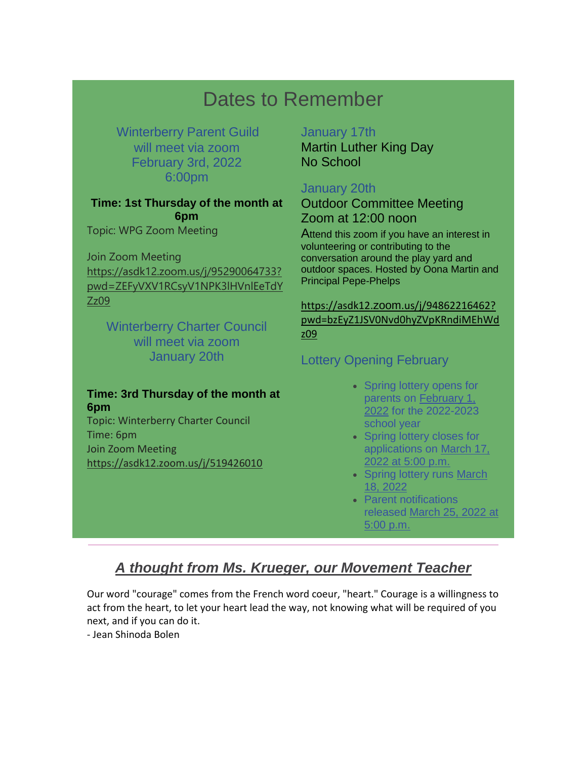# Dates to Remember

## Winterberry Parent Guild will meet via zoom February 3rd, 2022 6:00pm

### **Time: 1st Thursday of the month at 6pm**

Topic: WPG Zoom Meeting

Join Zoom Meeting [https://asdk12.zoom.us/j/95290064733?](https://nam12.safelinks.protection.outlook.com/?url=https%3A%2F%2Fr20.rs6.net%2Ftn.jsp%3Ff%3D001dDmKoqAShR-tkDTig6wvziIPC5AL0-yK_T6lSVzvp8oNrWVL6gL8X2UvZeGMXH97qvJy7Hlr79NSewsHGMKVC0Tnc7p3xMZPHIEOKGtExihpLYydx6mTeIte5AnxUGMGaW2I0b1s39ZpLhhMMNG3OQwZ4Vaz5_dpuyiLVf3vFIPIguX8Di62Pfvd3yRlg8wcS9kWOOGu9NKZWLGRqn44W7S6a6kfxGR1wpCdIoPKYlpB11EmoQXklerx2mx3jPRUH_3zdhi9lByoBi66pTKqwvq4B0fGJjxrymJGYB6EWu27BtG36zLeoVmNt28lRHPMkYwCDUXvH6mZ8cvKSy0zByA_TozpsMKLzyNyrExGNXtNySkHU6lNQ3a7y04rlzE89Jj5jxbatQC3cvKkoBx08VzmR8LYKAxmT5RQQTsh4K1BNMBbQVzGXi7Ln5e6rLB6ljZ7D0CiSn5fNGfMjfV4AYDbUpAEy8sul5wAhABAVY3cZ4Ay4eX6ghHqKKTnfdQSXCXnhIIOlvST13-r2MHiEjUI7LUabvOt4loNExJ4oOj1bujEChvJlwM7cQX0evlDtPpaVHIuLLznkk2y2m1iP-atGVDFNCh0eY_KPZn9RrdSYHKJNIypLj6ZMMr43FxP7aolHjAUMx-6P650Q_oASDByDPzpRbaah2OpRtUfRzdP9MLv6h32I25heZ6_D1woPgtTxbt9oHB5xSLrU05w9yUctd3kNP868FJS7Eb7su9wfQYu8ez6nQxSvGj1ebE5ZlAha799nYAuvv4WZjRJWA%3D%3D%26c%3DFIEVoJ67BwDoq9hGv67bQpxzdwM4GNhk6qN1r0MxIU-eEOUnW0FwDg%3D%3D%26ch%3DvrV1YgMMKJoEosqkGhRH60V3vLZ5HjMYuexvdwT2UcipsSZDrthz3w%3D%3D&data=04%7C01%7Cgarrels_shana%40asdk12.org%7Cf7dd05ca7f97434d3d1d08d9d6e26971%7C036ce601e95a4e46a3bd6b742ed4bb35%7C0%7C1%7C637777090208228820%7CUnknown%7CTWFpbGZsb3d8eyJWIjoiMC4wLjAwMDAiLCJQIjoiV2luMzIiLCJBTiI6Ik1haWwiLCJXVCI6Mn0%3D%7C3000&sdata=qAXrqAHhcfxk5pAZGWobYBJdxsqe4GAJO4M0L0PYhsw%3D&reserved=0) [pwd=ZEFyVXV1RCsyV1NPK3lHVnlEeTdY](https://nam12.safelinks.protection.outlook.com/?url=https%3A%2F%2Fr20.rs6.net%2Ftn.jsp%3Ff%3D001dDmKoqAShR-tkDTig6wvziIPC5AL0-yK_T6lSVzvp8oNrWVL6gL8X2UvZeGMXH97qvJy7Hlr79NSewsHGMKVC0Tnc7p3xMZPHIEOKGtExihpLYydx6mTeIte5AnxUGMGaW2I0b1s39ZpLhhMMNG3OQwZ4Vaz5_dpuyiLVf3vFIPIguX8Di62Pfvd3yRlg8wcS9kWOOGu9NKZWLGRqn44W7S6a6kfxGR1wpCdIoPKYlpB11EmoQXklerx2mx3jPRUH_3zdhi9lByoBi66pTKqwvq4B0fGJjxrymJGYB6EWu27BtG36zLeoVmNt28lRHPMkYwCDUXvH6mZ8cvKSy0zByA_TozpsMKLzyNyrExGNXtNySkHU6lNQ3a7y04rlzE89Jj5jxbatQC3cvKkoBx08VzmR8LYKAxmT5RQQTsh4K1BNMBbQVzGXi7Ln5e6rLB6ljZ7D0CiSn5fNGfMjfV4AYDbUpAEy8sul5wAhABAVY3cZ4Ay4eX6ghHqKKTnfdQSXCXnhIIOlvST13-r2MHiEjUI7LUabvOt4loNExJ4oOj1bujEChvJlwM7cQX0evlDtPpaVHIuLLznkk2y2m1iP-atGVDFNCh0eY_KPZn9RrdSYHKJNIypLj6ZMMr43FxP7aolHjAUMx-6P650Q_oASDByDPzpRbaah2OpRtUfRzdP9MLv6h32I25heZ6_D1woPgtTxbt9oHB5xSLrU05w9yUctd3kNP868FJS7Eb7su9wfQYu8ez6nQxSvGj1ebE5ZlAha799nYAuvv4WZjRJWA%3D%3D%26c%3DFIEVoJ67BwDoq9hGv67bQpxzdwM4GNhk6qN1r0MxIU-eEOUnW0FwDg%3D%3D%26ch%3DvrV1YgMMKJoEosqkGhRH60V3vLZ5HjMYuexvdwT2UcipsSZDrthz3w%3D%3D&data=04%7C01%7Cgarrels_shana%40asdk12.org%7Cf7dd05ca7f97434d3d1d08d9d6e26971%7C036ce601e95a4e46a3bd6b742ed4bb35%7C0%7C1%7C637777090208228820%7CUnknown%7CTWFpbGZsb3d8eyJWIjoiMC4wLjAwMDAiLCJQIjoiV2luMzIiLCJBTiI6Ik1haWwiLCJXVCI6Mn0%3D%7C3000&sdata=qAXrqAHhcfxk5pAZGWobYBJdxsqe4GAJO4M0L0PYhsw%3D&reserved=0) [Zz09](https://nam12.safelinks.protection.outlook.com/?url=https%3A%2F%2Fr20.rs6.net%2Ftn.jsp%3Ff%3D001dDmKoqAShR-tkDTig6wvziIPC5AL0-yK_T6lSVzvp8oNrWVL6gL8X2UvZeGMXH97qvJy7Hlr79NSewsHGMKVC0Tnc7p3xMZPHIEOKGtExihpLYydx6mTeIte5AnxUGMGaW2I0b1s39ZpLhhMMNG3OQwZ4Vaz5_dpuyiLVf3vFIPIguX8Di62Pfvd3yRlg8wcS9kWOOGu9NKZWLGRqn44W7S6a6kfxGR1wpCdIoPKYlpB11EmoQXklerx2mx3jPRUH_3zdhi9lByoBi66pTKqwvq4B0fGJjxrymJGYB6EWu27BtG36zLeoVmNt28lRHPMkYwCDUXvH6mZ8cvKSy0zByA_TozpsMKLzyNyrExGNXtNySkHU6lNQ3a7y04rlzE89Jj5jxbatQC3cvKkoBx08VzmR8LYKAxmT5RQQTsh4K1BNMBbQVzGXi7Ln5e6rLB6ljZ7D0CiSn5fNGfMjfV4AYDbUpAEy8sul5wAhABAVY3cZ4Ay4eX6ghHqKKTnfdQSXCXnhIIOlvST13-r2MHiEjUI7LUabvOt4loNExJ4oOj1bujEChvJlwM7cQX0evlDtPpaVHIuLLznkk2y2m1iP-atGVDFNCh0eY_KPZn9RrdSYHKJNIypLj6ZMMr43FxP7aolHjAUMx-6P650Q_oASDByDPzpRbaah2OpRtUfRzdP9MLv6h32I25heZ6_D1woPgtTxbt9oHB5xSLrU05w9yUctd3kNP868FJS7Eb7su9wfQYu8ez6nQxSvGj1ebE5ZlAha799nYAuvv4WZjRJWA%3D%3D%26c%3DFIEVoJ67BwDoq9hGv67bQpxzdwM4GNhk6qN1r0MxIU-eEOUnW0FwDg%3D%3D%26ch%3DvrV1YgMMKJoEosqkGhRH60V3vLZ5HjMYuexvdwT2UcipsSZDrthz3w%3D%3D&data=04%7C01%7Cgarrels_shana%40asdk12.org%7Cf7dd05ca7f97434d3d1d08d9d6e26971%7C036ce601e95a4e46a3bd6b742ed4bb35%7C0%7C1%7C637777090208228820%7CUnknown%7CTWFpbGZsb3d8eyJWIjoiMC4wLjAwMDAiLCJQIjoiV2luMzIiLCJBTiI6Ik1haWwiLCJXVCI6Mn0%3D%7C3000&sdata=qAXrqAHhcfxk5pAZGWobYBJdxsqe4GAJO4M0L0PYhsw%3D&reserved=0)

Winterberry Charter Council will meet via zoom January 20th

#### **Time: 3rd Thursday of the month at 6pm**

Topic: Winterberry Charter Council Time: 6pm Join Zoom Meeting [https://asdk12.zoom.us/j/519426010](https://nam12.safelinks.protection.outlook.com/?url=https%3A%2F%2Fr20.rs6.net%2Ftn.jsp%3Ff%3D001dDmKoqAShR-tkDTig6wvziIPC5AL0-yK_T6lSVzvp8oNrWVL6gL8X2UvZeGMXH97_1n1VDCeEoC99NEGCwwGjdjiYWkj5ZJrmfgfCd0f4uCaKAbWk97eUXSgkBbUDN_Piqgknh5GiJ3bIUisqXpPh5djknj2KZtH1t21uQAFxHQLOKiq43ozkfpgTBjZ4lBt4lYNvcLGpiCxmnCC-f0ArNlyWv5De7xFcRQxbLBffH1nec7Ilx-DQSwUiQuaJTqDmYiLHqVdN29tR3nuvT4qG643AZh1xg7pnJj4sAMxiE8iH1Y1fjneab_acfNLtvgt1MsSOipGVqRmzpPSr0y3EW4TaC9R0_5vJFNCJegG4ZRcRn6ncOqgrA24pKqIewSYKuAuT-eH8rpLZEcGwCIp4cLLDfXwccZ8IxhjnZxzseoEboGYuy_RqZ_ptP1Nwo0A1jtBLMgBl0yx0AGHW349oeBINdJYGFaT2MVbm-v2q5V-EkpOLsmIqLBi51yQoDTDsm6m_czaswcEkkfmjBU3yyvBKQSDNEtrPd2KU51YRgPa-qUmIyyJw2AU78h11YFjuTIAZHpVvZAseHzR1q92YpAXHUuYoxRgh4yXbJ335KhON24MazyNgtGo-qiS8FkPLHA6bDfyTTElPe1Hvuwj1Vd15YjF4KOTKon01r2H0TggYSdyawWD4aOREuHqi-gfvn7cHVkWv8AzYOvWzUA-IQ%3D%3D%26c%3DFIEVoJ67BwDoq9hGv67bQpxzdwM4GNhk6qN1r0MxIU-eEOUnW0FwDg%3D%3D%26ch%3DvrV1YgMMKJoEosqkGhRH60V3vLZ5HjMYuexvdwT2UcipsSZDrthz3w%3D%3D&data=04%7C01%7Cgarrels_shana%40asdk12.org%7Cf7dd05ca7f97434d3d1d08d9d6e26971%7C036ce601e95a4e46a3bd6b742ed4bb35%7C0%7C1%7C637777090208228820%7CUnknown%7CTWFpbGZsb3d8eyJWIjoiMC4wLjAwMDAiLCJQIjoiV2luMzIiLCJBTiI6Ik1haWwiLCJXVCI6Mn0%3D%7C3000&sdata=BB14QCnKVLEZ3taZ1YNZQPHEg4CdvrmbbkngkpTd8XE%3D&reserved=0)

#### January 17th

Martin Luther King Day No School

## January 20th

Outdoor Committee Meeting Zoom at 12:00 noon

Attend this zoom if you have an interest in volunteering or contributing to the conversation around the play yard and outdoor spaces. Hosted by Oona Martin and Principal Pepe-Phelps

[https://asdk12.](https://nam12.safelinks.protection.outlook.com/?url=https%3A%2F%2Fr20.rs6.net%2Ftn.jsp%3Ff%3D001dDmKoqAShR-tkDTig6wvziIPC5AL0-yK_T6lSVzvp8oNrWVL6gL8X-WXOlyLcboOpckZ1KNbeklr-K63NpLLpeALnauPXFKH0GjIFNskGW7wEBeG1EcAGmZTqjCOu5kRQwXe_gdBrXeqvRpDNUwDRB2DKH2B7jNDUvuWvDpvjEMN9VNMhxnmaELJJXmjsErEky03f-fVrF3R6ERXIJ7wJrM0CsTyF6fpOdg2DybAXSPoyQ4gS5NUIg2OVGvAL2GuHa-0RwOvTcrL70wIv22Mzf2IPvWV1w6bsfhY9SVZbBwsg7Vr_Zxk7vyskYruhXoilyKHvai_PNGoahIatrgusL2CPT8_kwwTWdkDqzBpgA6oOV8KD9bxIwhy47ZrvviuJaq-HlDDt4ZvVc4xv48JxwT6nDq6sM7elqraSQZGlymlYK5CjysSMq5PSzLUwaBKkLU4yy6Eomt1NR8PLhIq-SzIiO2gy2aDEhyLmTb5wKokbkc8Dxbh1rIBVw33GrzLO0O3OiM0HCS0tVk7H0w0ODwMuOmP_EFs91aShednaZ03cADfgsDEkbd2ZlqBM49F3-PwJgxkJnhMVKSHqp-3TkYcwHF1Djf5zx4TA8CdMeyEW1mSEUsn4JX-OILff3HDT7RJ1Oe63wTjdZLe56dorge37oZUUjNKd-HYrkm_0f-W51C7TS_p9zdAywX21CBEl1zqWsai5XRVvt-MNGOh7GbcsdOgo8tGoTzXxCJY16EDWDrvJdQ6xyB3jlwZ2as-0OszIdECPbAOUt5hlq4PJg%3D%3D%26c%3DFIEVoJ67BwDoq9hGv67bQpxzdwM4GNhk6qN1r0MxIU-eEOUnW0FwDg%3D%3D%26ch%3DvrV1YgMMKJoEosqkGhRH60V3vLZ5HjMYuexvdwT2UcipsSZDrthz3w%3D%3D&data=04%7C01%7Cgarrels_shana%40asdk12.org%7Cf7dd05ca7f97434d3d1d08d9d6e26971%7C036ce601e95a4e46a3bd6b742ed4bb35%7C0%7C1%7C637777090208228820%7CUnknown%7CTWFpbGZsb3d8eyJWIjoiMC4wLjAwMDAiLCJQIjoiV2luMzIiLCJBTiI6Ik1haWwiLCJXVCI6Mn0%3D%7C3000&sdata=5zzXqra2c84GBJjUmVjH7pJ3Li6nloK2EsH41RkbD1E%3D&reserved=0)[zoom](https://nam12.safelinks.protection.outlook.com/?url=https%3A%2F%2Fr20.rs6.net%2Ftn.jsp%3Ff%3D001dDmKoqAShR-tkDTig6wvziIPC5AL0-yK_T6lSVzvp8oNrWVL6gL8X-WXOlyLcboOpckZ1KNbeklr-K63NpLLpeALnauPXFKH0GjIFNskGW7wEBeG1EcAGmZTqjCOu5kRQwXe_gdBrXeqvRpDNUwDRB2DKH2B7jNDUvuWvDpvjEMN9VNMhxnmaELJJXmjsErEky03f-fVrF3R6ERXIJ7wJrM0CsTyF6fpOdg2DybAXSPoyQ4gS5NUIg2OVGvAL2GuHa-0RwOvTcrL70wIv22Mzf2IPvWV1w6bsfhY9SVZbBwsg7Vr_Zxk7vyskYruhXoilyKHvai_PNGoahIatrgusL2CPT8_kwwTWdkDqzBpgA6oOV8KD9bxIwhy47ZrvviuJaq-HlDDt4ZvVc4xv48JxwT6nDq6sM7elqraSQZGlymlYK5CjysSMq5PSzLUwaBKkLU4yy6Eomt1NR8PLhIq-SzIiO2gy2aDEhyLmTb5wKokbkc8Dxbh1rIBVw33GrzLO0O3OiM0HCS0tVk7H0w0ODwMuOmP_EFs91aShednaZ03cADfgsDEkbd2ZlqBM49F3-PwJgxkJnhMVKSHqp-3TkYcwHF1Djf5zx4TA8CdMeyEW1mSEUsn4JX-OILff3HDT7RJ1Oe63wTjdZLe56dorge37oZUUjNKd-HYrkm_0f-W51C7TS_p9zdAywX21CBEl1zqWsai5XRVvt-MNGOh7GbcsdOgo8tGoTzXxCJY16EDWDrvJdQ6xyB3jlwZ2as-0OszIdECPbAOUt5hlq4PJg%3D%3D%26c%3DFIEVoJ67BwDoq9hGv67bQpxzdwM4GNhk6qN1r0MxIU-eEOUnW0FwDg%3D%3D%26ch%3DvrV1YgMMKJoEosqkGhRH60V3vLZ5HjMYuexvdwT2UcipsSZDrthz3w%3D%3D&data=04%7C01%7Cgarrels_shana%40asdk12.org%7Cf7dd05ca7f97434d3d1d08d9d6e26971%7C036ce601e95a4e46a3bd6b742ed4bb35%7C0%7C1%7C637777090208228820%7CUnknown%7CTWFpbGZsb3d8eyJWIjoiMC4wLjAwMDAiLCJQIjoiV2luMzIiLCJBTiI6Ik1haWwiLCJXVCI6Mn0%3D%7C3000&sdata=5zzXqra2c84GBJjUmVjH7pJ3Li6nloK2EsH41RkbD1E%3D&reserved=0)[.us/j/94862216462?](https://nam12.safelinks.protection.outlook.com/?url=https%3A%2F%2Fr20.rs6.net%2Ftn.jsp%3Ff%3D001dDmKoqAShR-tkDTig6wvziIPC5AL0-yK_T6lSVzvp8oNrWVL6gL8X-WXOlyLcboOpckZ1KNbeklr-K63NpLLpeALnauPXFKH0GjIFNskGW7wEBeG1EcAGmZTqjCOu5kRQwXe_gdBrXeqvRpDNUwDRB2DKH2B7jNDUvuWvDpvjEMN9VNMhxnmaELJJXmjsErEky03f-fVrF3R6ERXIJ7wJrM0CsTyF6fpOdg2DybAXSPoyQ4gS5NUIg2OVGvAL2GuHa-0RwOvTcrL70wIv22Mzf2IPvWV1w6bsfhY9SVZbBwsg7Vr_Zxk7vyskYruhXoilyKHvai_PNGoahIatrgusL2CPT8_kwwTWdkDqzBpgA6oOV8KD9bxIwhy47ZrvviuJaq-HlDDt4ZvVc4xv48JxwT6nDq6sM7elqraSQZGlymlYK5CjysSMq5PSzLUwaBKkLU4yy6Eomt1NR8PLhIq-SzIiO2gy2aDEhyLmTb5wKokbkc8Dxbh1rIBVw33GrzLO0O3OiM0HCS0tVk7H0w0ODwMuOmP_EFs91aShednaZ03cADfgsDEkbd2ZlqBM49F3-PwJgxkJnhMVKSHqp-3TkYcwHF1Djf5zx4TA8CdMeyEW1mSEUsn4JX-OILff3HDT7RJ1Oe63wTjdZLe56dorge37oZUUjNKd-HYrkm_0f-W51C7TS_p9zdAywX21CBEl1zqWsai5XRVvt-MNGOh7GbcsdOgo8tGoTzXxCJY16EDWDrvJdQ6xyB3jlwZ2as-0OszIdECPbAOUt5hlq4PJg%3D%3D%26c%3DFIEVoJ67BwDoq9hGv67bQpxzdwM4GNhk6qN1r0MxIU-eEOUnW0FwDg%3D%3D%26ch%3DvrV1YgMMKJoEosqkGhRH60V3vLZ5HjMYuexvdwT2UcipsSZDrthz3w%3D%3D&data=04%7C01%7Cgarrels_shana%40asdk12.org%7Cf7dd05ca7f97434d3d1d08d9d6e26971%7C036ce601e95a4e46a3bd6b742ed4bb35%7C0%7C1%7C637777090208228820%7CUnknown%7CTWFpbGZsb3d8eyJWIjoiMC4wLjAwMDAiLCJQIjoiV2luMzIiLCJBTiI6Ik1haWwiLCJXVCI6Mn0%3D%7C3000&sdata=5zzXqra2c84GBJjUmVjH7pJ3Li6nloK2EsH41RkbD1E%3D&reserved=0) [pwd=bzEyZ1JSV0Nvd0hyZVpKRndiMEhWd](https://nam12.safelinks.protection.outlook.com/?url=https%3A%2F%2Fr20.rs6.net%2Ftn.jsp%3Ff%3D001dDmKoqAShR-tkDTig6wvziIPC5AL0-yK_T6lSVzvp8oNrWVL6gL8X-WXOlyLcboOpckZ1KNbeklr-K63NpLLpeALnauPXFKH0GjIFNskGW7wEBeG1EcAGmZTqjCOu5kRQwXe_gdBrXeqvRpDNUwDRB2DKH2B7jNDUvuWvDpvjEMN9VNMhxnmaELJJXmjsErEky03f-fVrF3R6ERXIJ7wJrM0CsTyF6fpOdg2DybAXSPoyQ4gS5NUIg2OVGvAL2GuHa-0RwOvTcrL70wIv22Mzf2IPvWV1w6bsfhY9SVZbBwsg7Vr_Zxk7vyskYruhXoilyKHvai_PNGoahIatrgusL2CPT8_kwwTWdkDqzBpgA6oOV8KD9bxIwhy47ZrvviuJaq-HlDDt4ZvVc4xv48JxwT6nDq6sM7elqraSQZGlymlYK5CjysSMq5PSzLUwaBKkLU4yy6Eomt1NR8PLhIq-SzIiO2gy2aDEhyLmTb5wKokbkc8Dxbh1rIBVw33GrzLO0O3OiM0HCS0tVk7H0w0ODwMuOmP_EFs91aShednaZ03cADfgsDEkbd2ZlqBM49F3-PwJgxkJnhMVKSHqp-3TkYcwHF1Djf5zx4TA8CdMeyEW1mSEUsn4JX-OILff3HDT7RJ1Oe63wTjdZLe56dorge37oZUUjNKd-HYrkm_0f-W51C7TS_p9zdAywX21CBEl1zqWsai5XRVvt-MNGOh7GbcsdOgo8tGoTzXxCJY16EDWDrvJdQ6xyB3jlwZ2as-0OszIdECPbAOUt5hlq4PJg%3D%3D%26c%3DFIEVoJ67BwDoq9hGv67bQpxzdwM4GNhk6qN1r0MxIU-eEOUnW0FwDg%3D%3D%26ch%3DvrV1YgMMKJoEosqkGhRH60V3vLZ5HjMYuexvdwT2UcipsSZDrthz3w%3D%3D&data=04%7C01%7Cgarrels_shana%40asdk12.org%7Cf7dd05ca7f97434d3d1d08d9d6e26971%7C036ce601e95a4e46a3bd6b742ed4bb35%7C0%7C1%7C637777090208228820%7CUnknown%7CTWFpbGZsb3d8eyJWIjoiMC4wLjAwMDAiLCJQIjoiV2luMzIiLCJBTiI6Ik1haWwiLCJXVCI6Mn0%3D%7C3000&sdata=5zzXqra2c84GBJjUmVjH7pJ3Li6nloK2EsH41RkbD1E%3D&reserved=0) [z09](https://nam12.safelinks.protection.outlook.com/?url=https%3A%2F%2Fr20.rs6.net%2Ftn.jsp%3Ff%3D001dDmKoqAShR-tkDTig6wvziIPC5AL0-yK_T6lSVzvp8oNrWVL6gL8X-WXOlyLcboOpckZ1KNbeklr-K63NpLLpeALnauPXFKH0GjIFNskGW7wEBeG1EcAGmZTqjCOu5kRQwXe_gdBrXeqvRpDNUwDRB2DKH2B7jNDUvuWvDpvjEMN9VNMhxnmaELJJXmjsErEky03f-fVrF3R6ERXIJ7wJrM0CsTyF6fpOdg2DybAXSPoyQ4gS5NUIg2OVGvAL2GuHa-0RwOvTcrL70wIv22Mzf2IPvWV1w6bsfhY9SVZbBwsg7Vr_Zxk7vyskYruhXoilyKHvai_PNGoahIatrgusL2CPT8_kwwTWdkDqzBpgA6oOV8KD9bxIwhy47ZrvviuJaq-HlDDt4ZvVc4xv48JxwT6nDq6sM7elqraSQZGlymlYK5CjysSMq5PSzLUwaBKkLU4yy6Eomt1NR8PLhIq-SzIiO2gy2aDEhyLmTb5wKokbkc8Dxbh1rIBVw33GrzLO0O3OiM0HCS0tVk7H0w0ODwMuOmP_EFs91aShednaZ03cADfgsDEkbd2ZlqBM49F3-PwJgxkJnhMVKSHqp-3TkYcwHF1Djf5zx4TA8CdMeyEW1mSEUsn4JX-OILff3HDT7RJ1Oe63wTjdZLe56dorge37oZUUjNKd-HYrkm_0f-W51C7TS_p9zdAywX21CBEl1zqWsai5XRVvt-MNGOh7GbcsdOgo8tGoTzXxCJY16EDWDrvJdQ6xyB3jlwZ2as-0OszIdECPbAOUt5hlq4PJg%3D%3D%26c%3DFIEVoJ67BwDoq9hGv67bQpxzdwM4GNhk6qN1r0MxIU-eEOUnW0FwDg%3D%3D%26ch%3DvrV1YgMMKJoEosqkGhRH60V3vLZ5HjMYuexvdwT2UcipsSZDrthz3w%3D%3D&data=04%7C01%7Cgarrels_shana%40asdk12.org%7Cf7dd05ca7f97434d3d1d08d9d6e26971%7C036ce601e95a4e46a3bd6b742ed4bb35%7C0%7C1%7C637777090208228820%7CUnknown%7CTWFpbGZsb3d8eyJWIjoiMC4wLjAwMDAiLCJQIjoiV2luMzIiLCJBTiI6Ik1haWwiLCJXVCI6Mn0%3D%7C3000&sdata=5zzXqra2c84GBJjUmVjH7pJ3Li6nloK2EsH41RkbD1E%3D&reserved=0)

# Lottery Opening February

- Spring lottery opens for parents on February 1, 2022 for the 2022-2023 school year
- Spring lottery closes for applications on March 17, 2022 at 5:00 p.m.
- Spring lottery runs March 18, 2022
- Parent notifications released March 25, 2022 at 5:00 p.m.

# *A thought from Ms. Krueger, our Movement Teacher*

Our word "courage" comes from the French word coeur, "heart." Courage is a willingness to act from the heart, to let your heart lead the way, not knowing what will be required of you next, and if you can do it.

- Jean Shinoda Bolen